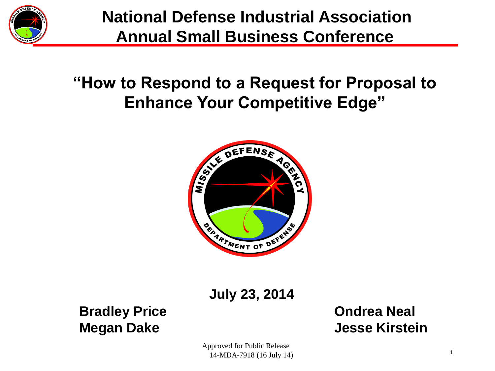

**National Defense Industrial Association Annual Small Business Conference**

#### **"How to Respond to a Request for Proposal to Enhance Your Competitive Edge"**



**July 23, 2014**

**Bradley Price Condrea Neal** 

**Megan Dake State State State State State State State State State State State State State State State State State State State State State State State State State State State State State State State State State State State** 

Approved for Public Release 14-MDA-7918 (16 July 14)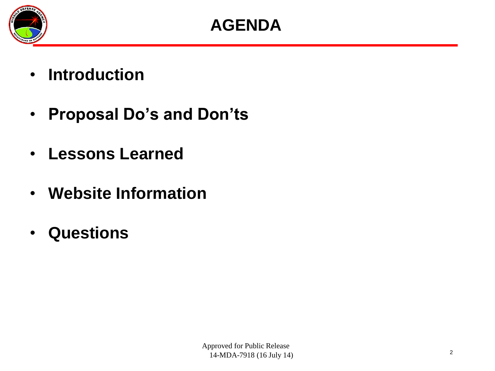

- **Introduction**
- **Proposal Do's and Don'ts**
- **Lessons Learned**
- **Website Information**
- **Questions**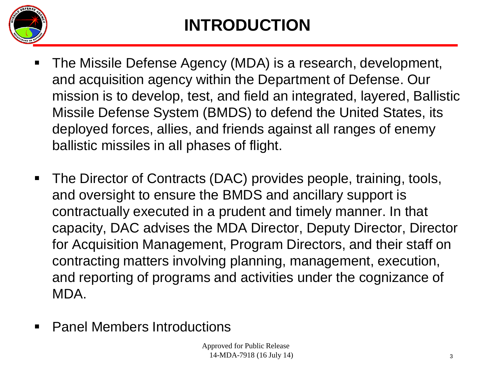

## **INTRODUCTION**

- The Missile Defense Agency (MDA) is a research, development, and acquisition agency within the Department of Defense. Our mission is to develop, test, and field an integrated, layered, Ballistic Missile Defense System (BMDS) to defend the United States, its deployed forces, allies, and friends against all ranges of enemy ballistic missiles in all phases of flight.
- The Director of Contracts (DAC) provides people, training, tools, and oversight to ensure the BMDS and ancillary support is contractually executed in a prudent and timely manner. In that capacity, DAC advises the MDA Director, Deputy Director, Director for Acquisition Management, Program Directors, and their staff on contracting matters involving planning, management, execution, and reporting of programs and activities under the cognizance of MDA.
- Panel Members Introductions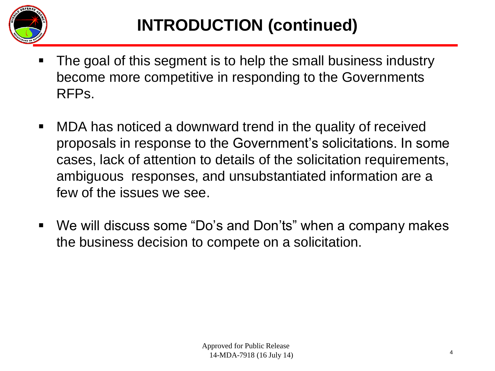

- The goal of this segment is to help the small business industry become more competitive in responding to the Governments RFPs.
- MDA has noticed a downward trend in the quality of received proposals in response to the Government's solicitations. In some cases, lack of attention to details of the solicitation requirements, ambiguous responses, and unsubstantiated information are a few of the issues we see.
- We will discuss some "Do's and Don'ts" when a company makes the business decision to compete on a solicitation.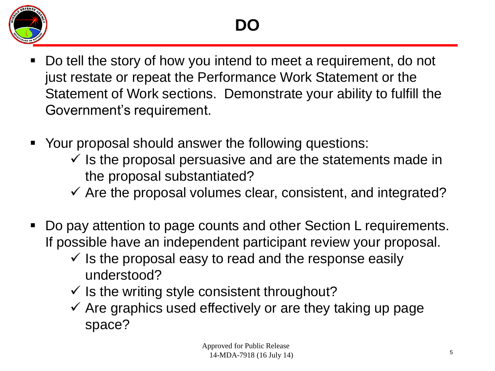

- Do tell the story of how you intend to meet a requirement, do not just restate or repeat the Performance Work Statement or the Statement of Work sections. Demonstrate your ability to fulfill the Government's requirement.
- Your proposal should answer the following questions:
	- $\checkmark$  is the proposal persuasive and are the statements made in the proposal substantiated?
	- $\checkmark$  Are the proposal volumes clear, consistent, and integrated?
- Do pay attention to page counts and other Section L requirements. If possible have an independent participant review your proposal.
	- $\checkmark$  is the proposal easy to read and the response easily understood?
	- $\checkmark$  Is the writing style consistent throughout?
	- $\checkmark$  Are graphics used effectively or are they taking up page space?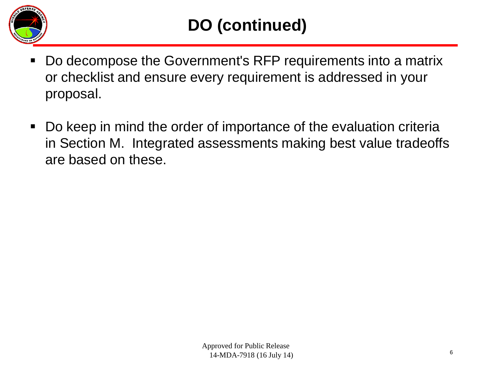

- Do decompose the Government's RFP requirements into a matrix or checklist and ensure every requirement is addressed in your proposal.
- Do keep in mind the order of importance of the evaluation criteria in Section M. Integrated assessments making best value tradeoffs are based on these.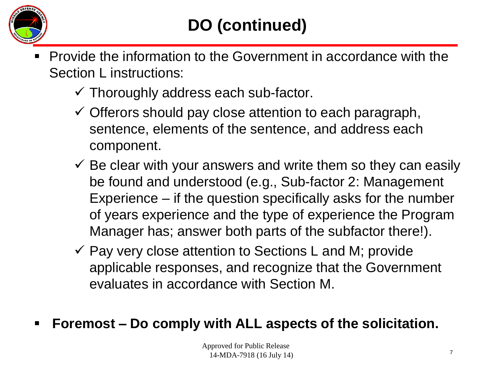

- Provide the information to the Government in accordance with the Section L instructions:
	- $\checkmark$  Thoroughly address each sub-factor.
	- $\checkmark$  Offerors should pay close attention to each paragraph, sentence, elements of the sentence, and address each component.
	- $\checkmark$  Be clear with your answers and write them so they can easily be found and understood (e.g., Sub-factor 2: Management Experience – if the question specifically asks for the number of years experience and the type of experience the Program Manager has; answer both parts of the subfactor there!).
	- $\checkmark$  Pay very close attention to Sections L and M; provide applicable responses, and recognize that the Government evaluates in accordance with Section M.
- **Foremost – Do comply with ALL aspects of the solicitation.**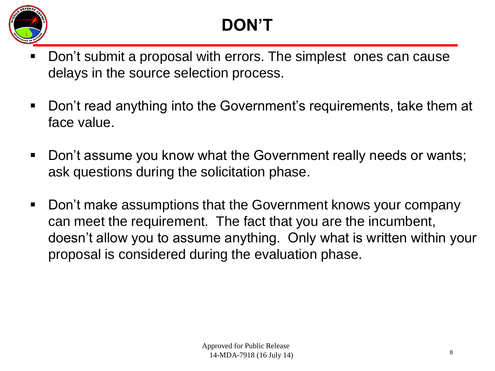

# **DON'T**

- Don't submit a proposal with errors. The simplest ones can cause delays in the source selection process.
- Don't read anything into the Government's requirements, take them at face value.
- Don't assume you know what the Government really needs or wants; ask questions during the solicitation phase.
- Don't make assumptions that the Government knows your company can meet the requirement. The fact that you are the incumbent, doesn't allow you to assume anything. Only what is written within your proposal is considered during the evaluation phase.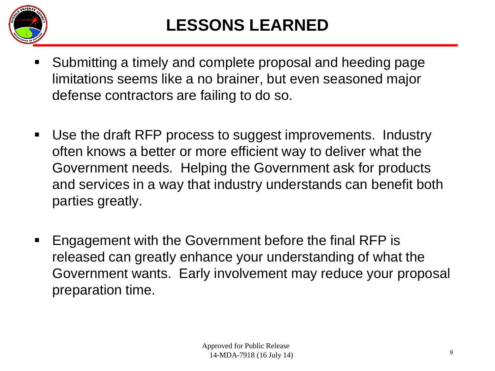

### **LESSONS LEARNED**

- Submitting a timely and complete proposal and heeding page limitations seems like a no brainer, but even seasoned major defense contractors are failing to do so.
- Use the draft RFP process to suggest improvements. Industry often knows a better or more efficient way to deliver what the Government needs. Helping the Government ask for products and services in a way that industry understands can benefit both parties greatly.
- **Engagement with the Government before the final RFP is** released can greatly enhance your understanding of what the Government wants. Early involvement may reduce your proposal preparation time.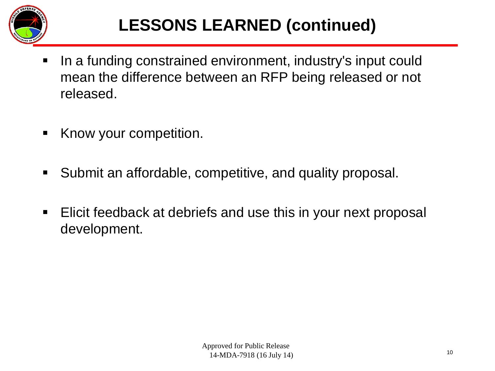

## **LESSONS LEARNED (continued)**

- In a funding constrained environment, industry's input could mean the difference between an RFP being released or not released.
- Know your competition.
- Submit an affordable, competitive, and quality proposal.
- **Elicit feedback at debriefs and use this in your next proposal** development.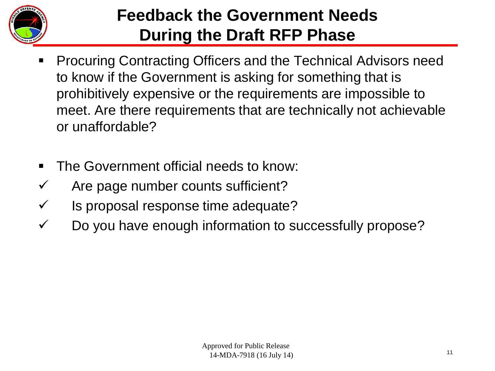

#### **Feedback the Government Needs During the Draft RFP Phase**

- Procuring Contracting Officers and the Technical Advisors need to know if the Government is asking for something that is prohibitively expensive or the requirements are impossible to meet. Are there requirements that are technically not achievable or unaffordable?
- The Government official needs to know:
- $\checkmark$  Are page number counts sufficient?
- $\checkmark$  Is proposal response time adequate?
- $\checkmark$  Do you have enough information to successfully propose?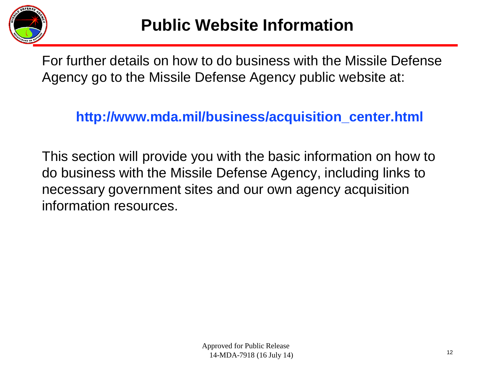

For further details on how to do business with the Missile Defense Agency go to the Missile Defense Agency public website at:

 **http://www.mda.mil/business/acquisition\_center.html**

This section will provide you with the basic information on how to do business with the Missile Defense Agency, including links to necessary government sites and our own agency acquisition information resources.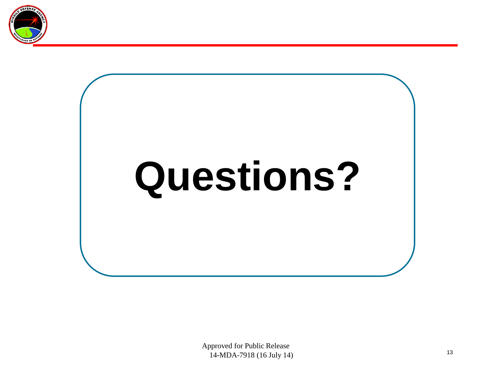